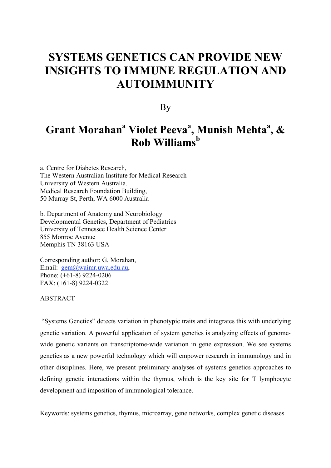## **SYSTEMS GENETICS CAN PROVIDE NEW INSIGHTS TO IMMUNE REGULATION AND AUTOIMMUNITY**

By

# Grant Morahan<sup>a</sup> Violet Peeva<sup>a</sup>, Munish Mehta<sup>a</sup>, & **Rob Williams<sup>b</sup>**

a. Centre for Diabetes Research, The Western Australian Institute for Medical Research University of Western Australia. Medical Research Foundation Building, 50 Murray St, Perth, WA 6000 Australia

b. Department of Anatomy and Neurobiology Developmental Genetics, Department of Pediatrics University of Tennessee Health Science Center 855 Monroe Avenue Memphis TN 38163 USA

Corresponding author: G. Morahan, Email: gem@waimr.uwa.edu.au, Phone: (+61-8) 9224-0206 FAX: (+61-8) 9224-0322

**ABSTRACT** 

 "Systems Genetics" detects variation in phenotypic traits and integrates this with underlying genetic variation. A powerful application of system genetics is analyzing effects of genomewide genetic variants on transcriptome-wide variation in gene expression. We see systems genetics as a new powerful technology which will empower research in immunology and in other disciplines. Here, we present preliminary analyses of systems genetics approaches to defining genetic interactions within the thymus, which is the key site for T lymphocyte development and imposition of immunological tolerance.

Keywords: systems genetics, thymus, microarray, gene networks, complex genetic diseases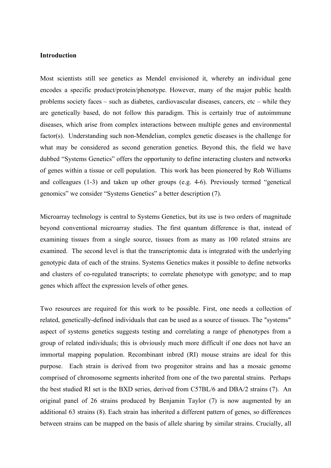#### **Introduction**

Most scientists still see genetics as Mendel envisioned it, whereby an individual gene encodes a specific product/protein/phenotype. However, many of the major public health problems society faces – such as diabetes, cardiovascular diseases, cancers, etc – while they are genetically based, do not follow this paradigm. This is certainly true of autoimmune diseases, which arise from complex interactions between multiple genes and environmental factor(s). Understanding such non-Mendelian, complex genetic diseases is the challenge for what may be considered as second generation genetics. Beyond this, the field we have dubbed "Systems Genetics" offers the opportunity to define interacting clusters and networks of genes within a tissue or cell population. This work has been pioneered by Rob Williams and colleagues (1-3) and taken up other groups (e.g. 4-6). Previously termed "genetical genomics" we consider "Systems Genetics" a better description (7).

Microarray technology is central to Systems Genetics, but its use is two orders of magnitude beyond conventional microarray studies. The first quantum difference is that, instead of examining tissues from a single source, tissues from as many as 100 related strains are examined. The second level is that the transcriptomic data is integrated with the underlying genotypic data of each of the strains. Systems Genetics makes it possible to define networks and clusters of co-regulated transcripts; to correlate phenotype with genotype; and to map genes which affect the expression levels of other genes.

Two resources are required for this work to be possible. First, one needs a collection of related, genetically-defined individuals that can be used as a source of tissues. The "systems" aspect of systems genetics suggests testing and correlating a range of phenotypes from a group of related individuals; this is obviously much more difficult if one does not have an immortal mapping population. Recombinant inbred (RI) mouse strains are ideal for this purpose. Each strain is derived from two progenitor strains and has a mosaic genome comprised of chromosome segments inherited from one of the two parental strains. Perhaps the best studied RI set is the BXD series, derived from C57BL/6 and DBA/2 strains (7). An original panel of 26 strains produced by Benjamin Taylor (7) is now augmented by an additional 63 strains (8). Each strain has inherited a different pattern of genes, so differences between strains can be mapped on the basis of allele sharing by similar strains. Crucially, all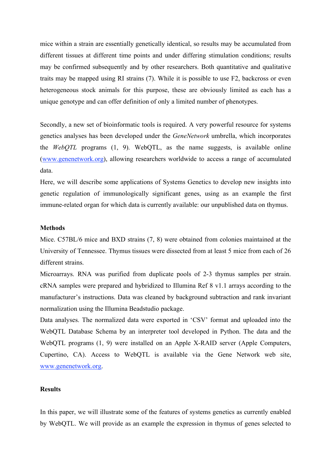mice within a strain are essentially genetically identical, so results may be accumulated from different tissues at different time points and under differing stimulation conditions; results may be confirmed subsequently and by other researchers. Both quantitative and qualitative traits may be mapped using RI strains (7). While it is possible to use F2, backcross or even heterogeneous stock animals for this purpose, these are obviously limited as each has a unique genotype and can offer definition of only a limited number of phenotypes.

Secondly, a new set of bioinformatic tools is required. A very powerful resource for systems genetics analyses has been developed under the *GeneNetwork* umbrella, which incorporates the *WebQTL* programs (1, 9). WebQTL, as the name suggests, is available online (www.genenetwork.org), allowing researchers worldwide to access a range of accumulated data.

Here, we will describe some applications of Systems Genetics to develop new insights into genetic regulation of immunologically significant genes, using as an example the first immune-related organ for which data is currently available: our unpublished data on thymus.

#### **Methods**

Mice. C57BL/6 mice and BXD strains  $(7, 8)$  were obtained from colonies maintained at the University of Tennessee. Thymus tissues were dissected from at least 5 mice from each of 26 different strains.

Microarrays. RNA was purified from duplicate pools of 2-3 thymus samples per strain. cRNA samples were prepared and hybridized to Illumina Ref 8 v1.1 arrays according to the manufacturer's instructions. Data was cleaned by background subtraction and rank invariant normalization using the Illumina Beadstudio package.

Data analyses. The normalized data were exported in 'CSV' format and uploaded into the WebQTL Database Schema by an interpreter tool developed in Python. The data and the WebQTL programs  $(1, 9)$  were installed on an Apple X-RAID server (Apple Computers, Cupertino, CA). Access to WebQTL is available via the Gene Network web site, www.genenetwork.org.

#### **Results**

In this paper, we will illustrate some of the features of systems genetics as currently enabled by WebQTL. We will provide as an example the expression in thymus of genes selected to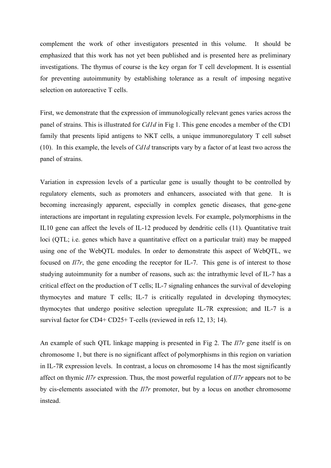complement the work of other investigators presented in this volume. It should be emphasized that this work has not yet been published and is presented here as preliminary investigations. The thymus of course is the key organ for T cell development. It is essential for preventing autoimmunity by establishing tolerance as a result of imposing negative selection on autoreactive T cells.

First, we demonstrate that the expression of immunologically relevant genes varies across the panel of strains. This is illustrated for *Cd1d* in Fig 1. This gene encodes a member of the CD1 family that presents lipid antigens to NKT cells, a unique immunoregulatory T cell subset (10). In this example, the levels of *Cd1d* transcripts vary by a factor of at least two across the panel of strains.

Variation in expression levels of a particular gene is usually thought to be controlled by regulatory elements, such as promoters and enhancers, associated with that gene. It is becoming increasingly apparent, especially in complex genetic diseases, that gene-gene interactions are important in regulating expression levels. For example, polymorphisms in the IL10 gene can affect the levels of IL-12 produced by dendritic cells (11). Quantitative trait loci (QTL; i.e. genes which have a quantitative effect on a particular trait) may be mapped using one of the WebQTL modules. In order to demonstrate this aspect of WebQTL, we focused on *Il7r*, the gene encoding the receptor for IL-7. This gene is of interest to those studying autoimmunity for a number of reasons, such as: the intrathymic level of IL-7 has a critical effect on the production of T cells; IL-7 signaling enhances the survival of developing thymocytes and mature T cells; IL-7 is critically regulated in developing thymocytes; thymocytes that undergo positive selection upregulate IL-7R expression; and IL-7 is a survival factor for CD4+ CD25+ T-cells (reviewed in refs 12, 13; 14).

An example of such QTL linkage mapping is presented in Fig 2. The *Il7r* gene itself is on chromosome 1, but there is no significant affect of polymorphisms in this region on variation in IL-7R expression levels. In contrast, a locus on chromosome 14 has the most significantly affect on thymic *Il7r* expression. Thus, the most powerful regulation of *Il7r* appears not to be by cis-elements associated with the *Il7r* promoter, but by a locus on another chromosome instead.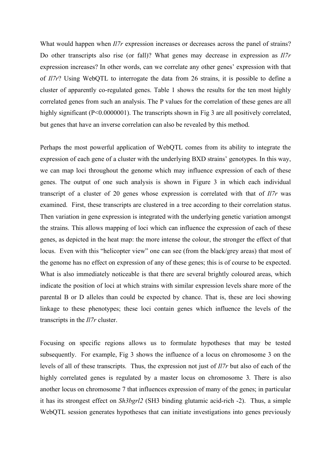What would happen when *Il7r* expression increases or decreases across the panel of strains? Do other transcripts also rise (or fall)? What genes may decrease in expression as *Il7r* expression increases? In other words, can we correlate any other genes' expression with that of *Il7r*? Using WebQTL to interrogate the data from 26 strains, it is possible to define a cluster of apparently co-regulated genes. Table 1 shows the results for the ten most highly correlated genes from such an analysis. The P values for the correlation of these genes are all highly significant (P<0.0000001). The transcripts shown in Fig 3 are all positively correlated, but genes that have an inverse correlation can also be revealed by this method.

Perhaps the most powerful application of WebQTL comes from its ability to integrate the expression of each gene of a cluster with the underlying BXD strains' genotypes. In this way, we can map loci throughout the genome which may influence expression of each of these genes. The output of one such analysis is shown in Figure 3 in which each individual transcript of a cluster of 20 genes whose expression is correlated with that of *Il7r* was examined. First, these transcripts are clustered in a tree according to their correlation status. Then variation in gene expression is integrated with the underlying genetic variation amongst the strains. This allows mapping of loci which can influence the expression of each of these genes, as depicted in the heat map: the more intense the colour, the stronger the effect of that locus. Even with this "helicopter view" one can see (from the black/grey areas) that most of the genome has no effect on expression of any of these genes; this is of course to be expected. What is also immediately noticeable is that there are several brightly coloured areas, which indicate the position of loci at which strains with similar expression levels share more of the parental B or D alleles than could be expected by chance. That is, these are loci showing linkage to these phenotypes; these loci contain genes which influence the levels of the transcripts in the *Il7r* cluster.

Focusing on specific regions allows us to formulate hypotheses that may be tested subsequently. For example, Fig 3 shows the influence of a locus on chromosome 3 on the levels of all of these transcripts. Thus, the expression not just of *Il7r* but also of each of the highly correlated genes is regulated by a master locus on chromosome 3. There is also another locus on chromosome 7 that influences expression of many of the genes; in particular it has its strongest effect on *Sh3bgrl2* (SH3 binding glutamic acid-rich -2). Thus, a simple WebQTL session generates hypotheses that can initiate investigations into genes previously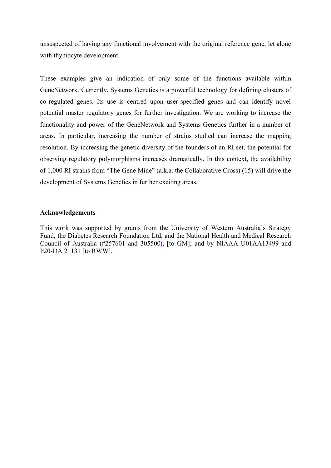unsuspected of having any functional involvement with the original reference gene, let alone with thymocyte development.

These examples give an indication of only some of the functions available within GeneNetwork. Currently, Systems Genetics is a powerful technology for defining clusters of co-regulated genes. Its use is centred upon user-specified genes and can identify novel potential master regulatory genes for further investigation. We are working to increase the functionality and power of the GeneNetwork and Systems Genetics further in a number of areas. In particular, increasing the number of strains studied can increase the mapping resolution. By increasing the genetic diversity of the founders of an RI set, the potential for observing regulatory polymorphisms increases dramatically. In this context, the availability of 1,000 RI strains from "The Gene Mine" (a.k.a. the Collaborative Cross) (15) will drive the development of Systems Genetics in further exciting areas.

#### **Acknowledgements**

This work was supported by grants from the University of Western Australia's Strategy Fund, the Diabetes Research Foundation Ltd, and the National Health and Medical Research Council of Australia (#257601 and 305500**)**, [to GM]; and by NIAAA U01AA13499 and P20-DA 21131 [to RWW].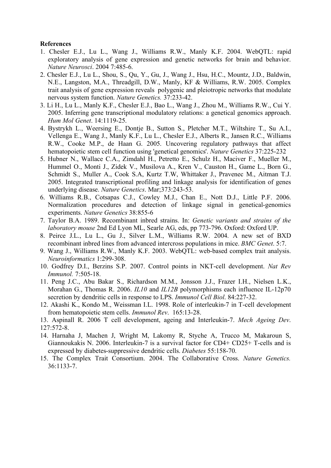#### **References**

- 1. Chesler E.J., Lu L., Wang J., Williams R.W., Manly K.F. 2004. WebQTL: rapid exploratory analysis of gene expression and genetic networks for brain and behavior. *Nature Neurosci*. 2004 7:485-6.
- 2. Chesler E.J., Lu L., Shou, S., Qu, Y., Gu, J., Wang J., Hsu, H.C., Mountz, J.D., Baldwin, N.E., Langston, M.A., Threadgill, D.W., Manly, KF & Williams, R.W. 2005. Complex trait analysis of gene expression reveals polygenic and pleiotropic networks that modulate nervous system function. *Nature Genetics.* 37:233-42.
- 3. Li H., Lu L., Manly K.F., Chesler E.J., Bao L., Wang J., Zhou M., Williams R.W., Cui Y. 2005. Inferring gene transcriptional modulatory relations: a genetical genomics approach. *Hum Mol Genet*. 14:1119-25.
- 4. Bystrykh L., Weersing E., Dontje B., Sutton S., Pletcher M.T., Wiltshire T., Su A.I., Vellenga E., Wang J., Manly K.F., Lu L., Chesler E.J., Alberts R., Jansen R.C., Williams R.W., Cooke M.P., de Haan G. 2005. Uncovering regulatory pathways that affect hematopoietic stem cell function using 'genetical genomics'. *Nature Genetics* 37:225-232
- 5. Hubner N., Wallace C.A., Zimdahl H., Petretto E., Schulz H., Maciver F., Mueller M., Hummel O., Monti J., Zidek V., Musilova A., Kren V., Causton H., Game L., Born G., Schmidt S., Muller A., Cook S.A, Kurtz T.W, Whittaker J., Pravenec M., Aitman T.J. 2005. Integrated transcriptional profiling and linkage analysis for identification of genes underlying disease. *Nature Genetics*. Mar;373:243-53.
- 6. Williams R.B., Cotsapas C.J., Cowley M.J., Chan E., Nott D.J., Little P.F. 2006. Normalization procedures and detection of linkage signal in genetical-genomics experiments. *Nature Genetics* 38:855-6
- 7. Taylor B.A. 1989. Recombinant inbred strains. In: *Genetic variants and strains of the laboratory mouse* 2nd Ed Lyon ML, Searle AG, eds, pp 773-796. Oxford: Oxford UP.
- 8. Peirce J.L., Lu L., Gu J., Silver L.M., Williams R.W. 2004. A new set of BXD recombinant inbred lines from advanced intercross populations in mice. *BMC Genet*. 5:7.
- 9. Wang J., Williams R.W., Manly K.F. 2003. WebQTL: web-based complex trait analysis. *Neuroinformatics* 1:299-308.
- 10. Godfrey D.I., Berzins S.P. 2007. Control points in NKT-cell development. *Nat Rev Immunol.* 7:505-18.
- 11. Peng J.C., Abu Bakar S., Richardson M.M., Jonsson J.J., Frazer I.H., Nielsen L.K., Morahan G., Thomas R. 2006. *IL10* and *IL12B* polymorphisms each influence IL-12p70 secretion by dendritic cells in response to LPS. *Immunol Cell Biol*. 84:227-32.
- 12. Akashi K., Kondo M., Weissman I.L. 1998. Role of interleukin-7 in T-cell development from hematopoietic stem cells. *Immunol Rev*. 165:13-28.
- 13. Aspinall R. 2006 T cell development, ageing and Interleukin-7. *Mech Ageing Dev*. 127:572-8.
- 14. Harnaha J, Machen J, Wright M, Lakomy R, Styche A, Trucco M, Makaroun S, Giannoukakis N. 2006. Interleukin-7 is a survival factor for CD4+ CD25+ T-cells and is expressed by diabetes-suppressive dendritic cells. *Diabetes* 55:158-70.
- 15. The Complex Trait Consortium. 2004. The Collaborative Cross. *Nature Genetics.* 36:1133-7.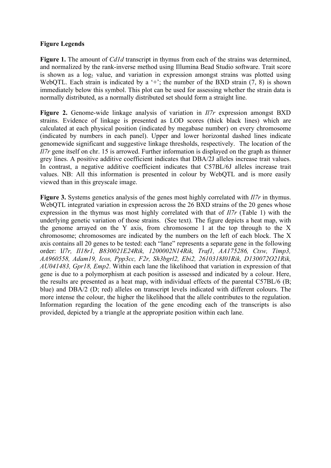### **Figure Legends**

**Figure 1.** The amount of *Cd1d* transcript in thymus from each of the strains was determined, and normalized by the rank-inverse method using Illumina Bead Studio software. Trait score is shown as a  $log<sub>2</sub>$  value, and variation in expression amongst strains was plotted using WebQTL. Each strain is indicated by a '+'; the number of the BXD strain  $(7, 8)$  is shown immediately below this symbol. This plot can be used for assessing whether the strain data is normally distributed, as a normally distributed set should form a straight line.

**Figure 2.** Genome-wide linkage analysis of variation in *Il7r* expression amongst BXD strains. Evidence of linkage is presented as LOD scores (thick black lines) which are calculated at each physical position (indicated by megabase number) on every chromosome (indicated by numbers in each panel). Upper and lower horizontal dashed lines indicate genomewide significant and suggestive linkage thresholds, respectively. The location of the *Il7r* gene itself on chr. 15 is arrowed. Further information is displayed on the graph as thinner grey lines. A positive additive coefficient indicates that DBA/2J alleles increase trait values. In contrast, a negative additive coefficient indicates that C57BL/6J alleles increase trait values. NB: All this information is presented in colour by WebQTL and is more easily viewed than in this greyscale image.

**Figure 3.** Systems genetics analysis of the genes most highly correlated with *Il7r* in thymus. WebOTL integrated variation in expression across the 26 BXD strains of the 20 genes whose expression in the thymus was most highly correlated with that of *Il7r* (Table 1) with the underlying genetic variation of those strains. (See text). The figure depicts a heat map, with the genome arrayed on the Y axis, from chromosome 1 at the top through to the X chromosome; chromosomes are indicated by the numbers on the left of each block. The X axis contains all 20 genes to be tested: each "lane" represents a separate gene in the following order: I*l7r, Il18r1, B830021E24Rik, 1200002N14Rik, Traf1, AA175286, Ctsw, Timp3, AA960558, Adam19, Icos, Ppp3cc, F2r, Sh3bgrl2, Ebi2, 2610318I01Rik, D130072O21Rik, AU041483, Gpr18, Emp2*. Within each lane the likelihood that variation in expression of that gene is due to a polymorphism at each position is assessed and indicated by a colour. Here, the results are presented as a heat map, with individual effects of the parental C57BL/6 (B; blue) and DBA/2 (D; red) alleles on transcript levels indicated with different colours. The more intense the colour, the higher the likelihood that the allele contributes to the regulation. Information regarding the location of the gene encoding each of the transcripts is also provided, depicted by a triangle at the appropriate position within each lane.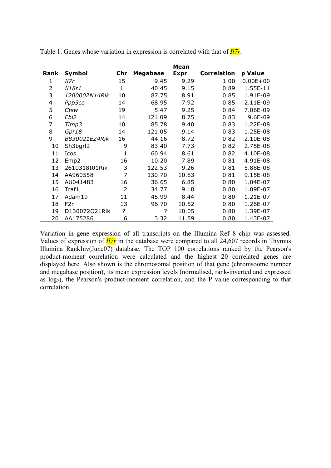|              |                  |                |                 | Mean        |                    |              |
|--------------|------------------|----------------|-----------------|-------------|--------------------|--------------|
| Rank         | <b>Symbol</b>    | Chr            | <b>Megabase</b> | <b>Expr</b> | <b>Correlation</b> | p Value      |
| $\mathbf{1}$ | Il7r             | 15             | 9.45            | 9.29        | 1.00               | $0.00E + 00$ |
| 2            | Il18r1           | $\mathbf{1}$   | 40.45           | 9.15        | 0.89               | 1.55E-11     |
| 3            | 1200002N14Rik    | 10             | 87.75           | 8.91        | 0.85               | 1.91E-09     |
| 4            | Ррр3сс           | 14             | 68.95           | 7.92        | 0.85               | 2.11E-09     |
| 5            | Ctsw             | 19             | 5.47            | 9.25        | 0.84               | 7.06E-09     |
| 6            | Ebi2             | 14             | 121.09          | 8.75        | 0.83               | $9.6E-09$    |
| 7            | Timp3            | 10             | 85.78           | 9.40        | 0.83               | 1.22E-08     |
| 8            | Gpr18            | 14             | 121.05          | 9.14        | 0.83               | 1.25E-08     |
| 9            | B830021E24Rik    | 16             | 44.16           | 8.72        | 0.82               | 2.10E-08     |
| 10           | Sh3bgrl2         | 9              | 83.40           | 7.73        | 0.82               | 2.75E-08     |
| 11           | Icos             | 1              | 60.94           | 8.61        | 0.82               | 4.10E-08     |
| 12           | Emp <sub>2</sub> | 16             | 10.20           | 7.89        | 0.81               | 4.91E-08     |
| 13           | 2610318I01Rik    | 3              | 122.53          | 9.26        | 0.81               | 5.88E-08     |
| 14           | AA960558         | $\overline{7}$ | 130.70          | 10.83       | 0.81               | 9.15E-08     |
| 15           | AU041483         | 16             | 36.65           | 6.85        | 0.80               | 1.04E-07     |
| 16           | Traf1            | $\overline{2}$ | 34.77           | 9.18        | 0.80               | 1.09E-07     |
| 17           | Adam19           | 11             | 45.99           | 8.44        | 0.80               | 1.21E-07     |
| 18           | F <sub>2r</sub>  | 13             | 96.70           | 10.52       | 0.80               | 1.26E-07     |
| 19           | D130072O21Rik    | ?              | ?               | 10.05       | 0.80               | 1.39E-07     |
| 20           | AA175286         | 6              | 3.32            | 11.59       | 0.80               | 1.43E-07     |

Table 1. Genes whose variation in expression is correlated with that of *Il7r*.

Variation in gene expression of all transcripts on the Illumina Ref 8 chip was assessed. Values of expression of  $\frac{I}{I}$ <sup>*n*</sup> in the database were compared to all 24,607 records in Thymus Illumina RankInv(June07) database. The TOP 100 correlations ranked by the Pearson's product-moment correlation were calculated and the highest 20 correlated genes are displayed here. Also shown is the chromosomal position of that gene (chromsoome number and megabase position), its mean expression levels (normalised, rank-inverted and expressed as  $log_2$ ), the Pearson's product-moment correlation, and the P value corresponding to that correlation.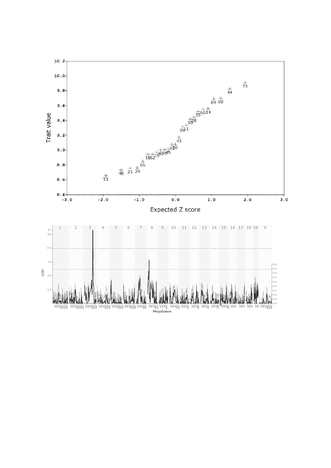